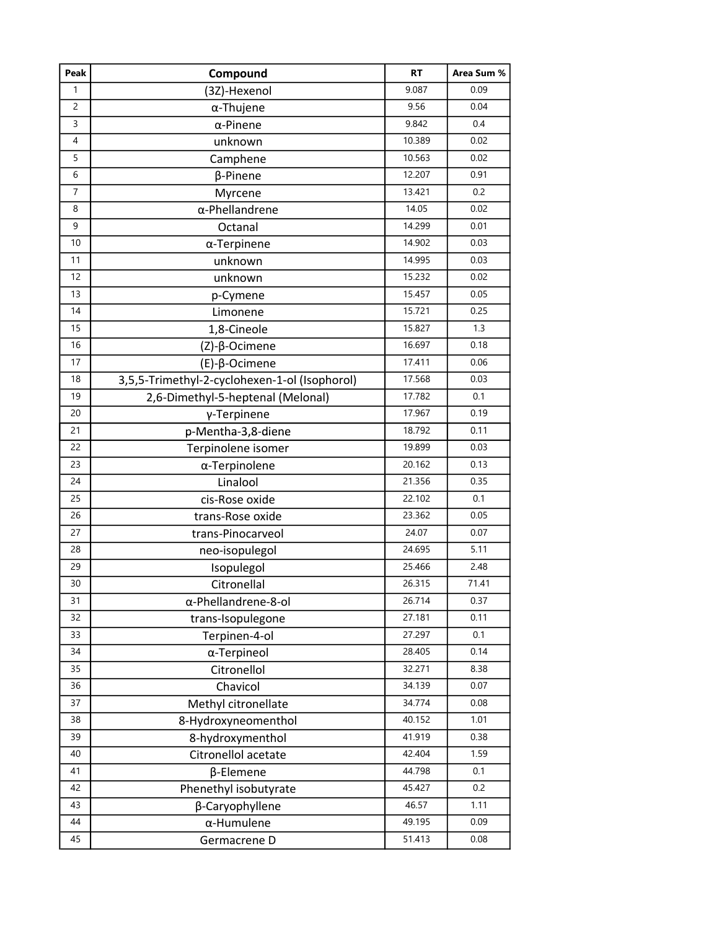| Peak           | Compound                                      | <b>RT</b> | Area Sum % |
|----------------|-----------------------------------------------|-----------|------------|
| $\mathbf{1}$   | (3Z)-Hexenol                                  | 9.087     | 0.09       |
| 2              | $\alpha$ -Thujene                             | 9.56      | 0.04       |
| 3              | $\alpha$ -Pinene                              | 9.842     | 0.4        |
| 4              | unknown                                       | 10.389    | 0.02       |
| 5              | Camphene                                      | 10.563    | 0.02       |
| 6              | β-Pinene                                      | 12.207    | 0.91       |
| $\overline{7}$ | Myrcene                                       | 13.421    | 0.2        |
| 8              | $\alpha$ -Phellandrene                        | 14.05     | 0.02       |
| 9              | Octanal                                       | 14.299    | 0.01       |
| 10             | $\alpha$ -Terpinene                           | 14.902    | 0.03       |
| 11             | unknown                                       | 14.995    | 0.03       |
| 12             | unknown                                       | 15.232    | 0.02       |
| 13             | p-Cymene                                      | 15.457    | 0.05       |
| 14             | Limonene                                      | 15.721    | 0.25       |
| 15             | 1,8-Cineole                                   | 15.827    | 1.3        |
| 16             | (Z)-β-Ocimene                                 | 16.697    | 0.18       |
| 17             | (E)-β-Ocimene                                 | 17.411    | 0.06       |
| 18             | 3,5,5-Trimethyl-2-cyclohexen-1-ol (Isophorol) | 17.568    | 0.03       |
| 19             | 2,6-Dimethyl-5-heptenal (Melonal)             | 17.782    | 0.1        |
| 20             | γ-Terpinene                                   | 17.967    | 0.19       |
| 21             | p-Mentha-3,8-diene                            | 18.792    | 0.11       |
| 22             | Terpinolene isomer                            | 19.899    | 0.03       |
| 23             | α-Terpinolene                                 | 20.162    | 0.13       |
| 24             | Linalool                                      | 21.356    | 0.35       |
| 25             | cis-Rose oxide                                | 22.102    | 0.1        |
| 26             | trans-Rose oxide                              | 23.362    | 0.05       |
| 27             | trans-Pinocarveol                             | 24.07     | 0.07       |
| 28             | neo-isopulegol                                | 24.695    | 5.11       |
| 29             | Isopulegol                                    | 25.466    | 2.48       |
| 30             | Citronellal                                   | 26.315    | 71.41      |
| 31             | α-Phellandrene-8-ol                           | 26.714    | 0.37       |
| 32             | trans-Isopulegone                             | 27.181    | 0.11       |
| 33             | Terpinen-4-ol                                 | 27.297    | 0.1        |
| 34             | α-Terpineol                                   | 28.405    | 0.14       |
| 35             | Citronellol                                   | 32.271    | 8.38       |
| 36             | Chavicol                                      | 34.139    | 0.07       |
| 37             | Methyl citronellate                           | 34.774    | 0.08       |
| 38             | 8-Hydroxyneomenthol                           | 40.152    | 1.01       |
| 39             | 8-hydroxymenthol                              | 41.919    | 0.38       |
| 40             | Citronellol acetate                           | 42.404    | 1.59       |
| 41             | β-Elemene                                     | 44.798    | 0.1        |
| 42             | Phenethyl isobutyrate                         | 45.427    | 0.2        |
| 43             | β-Caryophyllene                               | 46.57     | 1.11       |
| 44             | α-Humulene                                    | 49.195    | 0.09       |
| 45             | Germacrene D                                  | 51.413    | 0.08       |